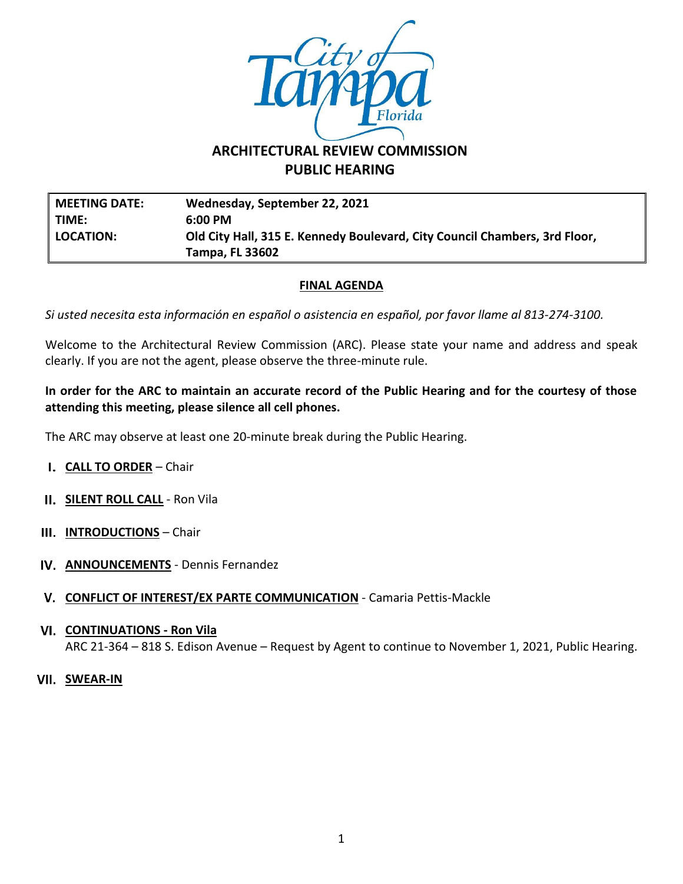

# **ARCHITECTURAL REVIEW COMMISSION PUBLIC HEARING**

**MEETING DATE: Wednesday, September 22, 2021 TIME: 6:00 PM LOCATION: Old City Hall, 315 E. Kennedy Boulevard, City Council Chambers, 3rd Floor, Tampa, FL 33602**

### **FINAL AGENDA**

*Si usted necesita esta información en español o asistencia en español, por favor llame al 813-274-3100.*

Welcome to the Architectural Review Commission (ARC). Please state your name and address and speak clearly. If you are not the agent, please observe the three-minute rule.

#### **In order for the ARC to maintain an accurate record of the Public Hearing and for the courtesy of those attending this meeting, please silence all cell phones.**

The ARC may observe at least one 20-minute break during the Public Hearing.

- **CALL TO ORDER** Chair
- **II.** SILENT ROLL CALL Ron Vila
- **III.** INTRODUCTIONS Chair
- **IV. ANNOUNCEMENTS** Dennis Fernandez
- **CONFLICT OF INTEREST/EX PARTE COMMUNICATION** Camaria Pettis-Mackle
- **CONTINUATIONS - Ron Vila** ARC 21-364 – 818 S. Edison Avenue – Request by Agent to continue to November 1, 2021, Public Hearing.
- **SWEAR-IN**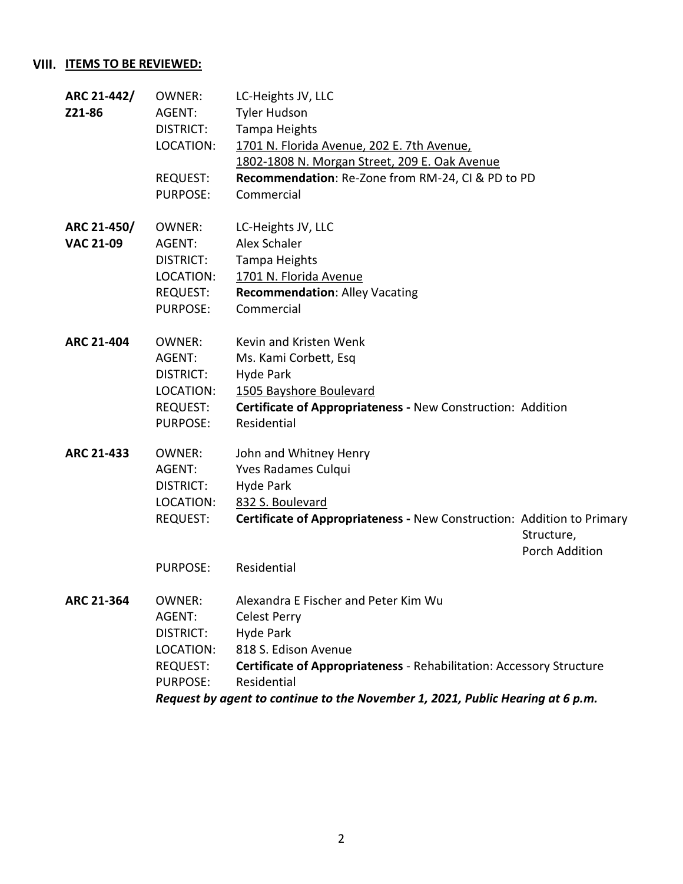## **VIII. ITEMS TO BE REVIEWED:**

| ARC 21-442/      | <b>OWNER:</b>                                                                  | LC-Heights JV, LLC                                                          |                              |
|------------------|--------------------------------------------------------------------------------|-----------------------------------------------------------------------------|------------------------------|
| Z21-86           | AGENT:                                                                         | <b>Tyler Hudson</b>                                                         |                              |
|                  | <b>DISTRICT:</b>                                                               | Tampa Heights                                                               |                              |
|                  | LOCATION:                                                                      | 1701 N. Florida Avenue, 202 E. 7th Avenue,                                  |                              |
|                  |                                                                                | 1802-1808 N. Morgan Street, 209 E. Oak Avenue                               |                              |
|                  | REQUEST:                                                                       | Recommendation: Re-Zone from RM-24, CI & PD to PD                           |                              |
|                  | <b>PURPOSE:</b>                                                                | Commercial                                                                  |                              |
| ARC 21-450/      | <b>OWNER:</b>                                                                  | LC-Heights JV, LLC                                                          |                              |
| <b>VAC 21-09</b> | AGENT:                                                                         | Alex Schaler                                                                |                              |
|                  | DISTRICT:                                                                      | Tampa Heights                                                               |                              |
|                  | LOCATION:                                                                      | 1701 N. Florida Avenue                                                      |                              |
|                  | REQUEST:                                                                       | <b>Recommendation: Alley Vacating</b>                                       |                              |
|                  | <b>PURPOSE:</b>                                                                | Commercial                                                                  |                              |
| ARC 21-404       | OWNER:                                                                         | Kevin and Kristen Wenk                                                      |                              |
|                  | AGENT:                                                                         | Ms. Kami Corbett, Esq                                                       |                              |
|                  | <b>DISTRICT:</b>                                                               | Hyde Park                                                                   |                              |
|                  | LOCATION:                                                                      | 1505 Bayshore Boulevard                                                     |                              |
|                  | REQUEST:                                                                       | Certificate of Appropriateness - New Construction: Addition                 |                              |
|                  | <b>PURPOSE:</b>                                                                | Residential                                                                 |                              |
| ARC 21-433       | <b>OWNER:</b>                                                                  | John and Whitney Henry                                                      |                              |
|                  | AGENT:                                                                         | Yves Radames Culqui                                                         |                              |
|                  | DISTRICT:                                                                      | Hyde Park                                                                   |                              |
|                  | LOCATION:                                                                      | 832 S. Boulevard                                                            |                              |
|                  | <b>REQUEST:</b>                                                                | Certificate of Appropriateness - New Construction: Addition to Primary      |                              |
|                  |                                                                                |                                                                             | Structure,<br>Porch Addition |
|                  | <b>PURPOSE:</b>                                                                | Residential                                                                 |                              |
| ARC 21-364       | <b>OWNER:</b>                                                                  | Alexandra E Fischer and Peter Kim Wu                                        |                              |
|                  | AGENT:                                                                         | <b>Celest Perry</b>                                                         |                              |
|                  | <b>DISTRICT:</b>                                                               | Hyde Park                                                                   |                              |
|                  | LOCATION:                                                                      | 818 S. Edison Avenue                                                        |                              |
|                  | <b>REQUEST:</b>                                                                | <b>Certificate of Appropriateness - Rehabilitation: Accessory Structure</b> |                              |
|                  | <b>PURPOSE:</b>                                                                | Residential                                                                 |                              |
|                  | Request by agent to continue to the November 1, 2021, Public Hearing at 6 p.m. |                                                                             |                              |